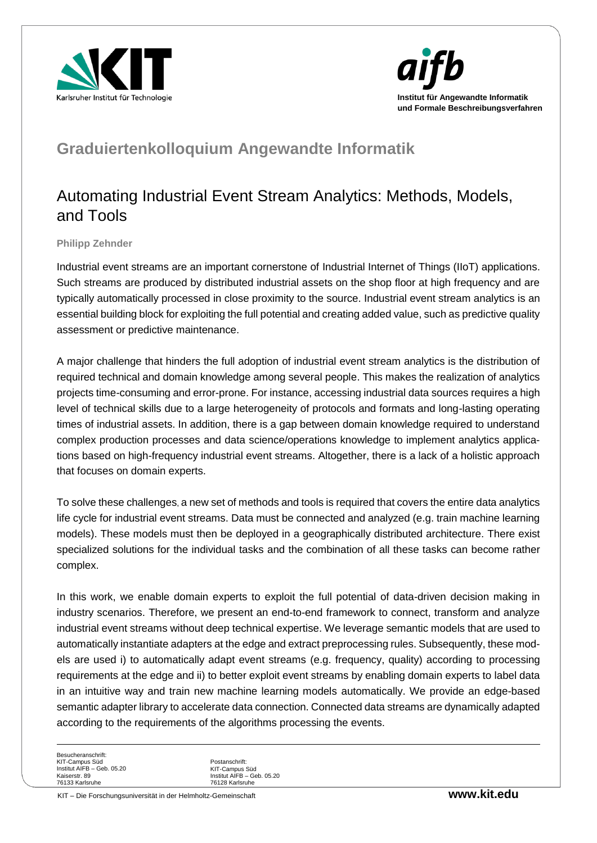



## **Graduiertenkolloquium Angewandte Informatik**

## Automating Industrial Event Stream Analytics: Methods, Models, and Tools

## **Philipp Zehnder**

Industrial event streams are an important cornerstone of Industrial Internet of Things (IIoT) applications. Such streams are produced by distributed industrial assets on the shop floor at high frequency and are typically automatically processed in close proximity to the source. Industrial event stream analytics is an essential building block for exploiting the full potential and creating added value, such as predictive quality assessment or predictive maintenance.

A major challenge that hinders the full adoption of industrial event stream analytics is the distribution of required technical and domain knowledge among several people. This makes the realization of analytics projects time-consuming and error-prone. For instance, accessing industrial data sources requires a high level of technical skills due to a large heterogeneity of protocols and formats and long-lasting operating times of industrial assets. In addition, there is a gap between domain knowledge required to understand complex production processes and data science/operations knowledge to implement analytics applications based on high-frequency industrial event streams. Altogether, there is a lack of a holistic approach that focuses on domain experts.

To solve these challenges, a new set of methods and tools is required that covers the entire data analytics life cycle for industrial event streams. Data must be connected and analyzed (e.g. train machine learning models). These models must then be deployed in a geographically distributed architecture. There exist specialized solutions for the individual tasks and the combination of all these tasks can become rather complex.

In this work, we enable domain experts to exploit the full potential of data-driven decision making in industry scenarios. Therefore, we present an end-to-end framework to connect, transform and analyze industrial event streams without deep technical expertise. We leverage semantic models that are used to automatically instantiate adapters at the edge and extract preprocessing rules. Subsequently, these models are used i) to automatically adapt event streams (e.g. frequency, quality) according to processing requirements at the edge and ii) to better exploit event streams by enabling domain experts to label data in an intuitive way and train new machine learning models automatically. We provide an edge-based semantic adapter library to accelerate data connection. Connected data streams are dynamically adapted according to the requirements of the algorithms processing the events.

Besucheranschrift: KIT-Campus Süd Institut AIFB – Geb. 05.20 Kaiserstr. 89 76133 Karlsruhe

Postanschrift: KIT-Campus Süd Institut AIFB – Geb. 05.20 76128 Karlsruhe